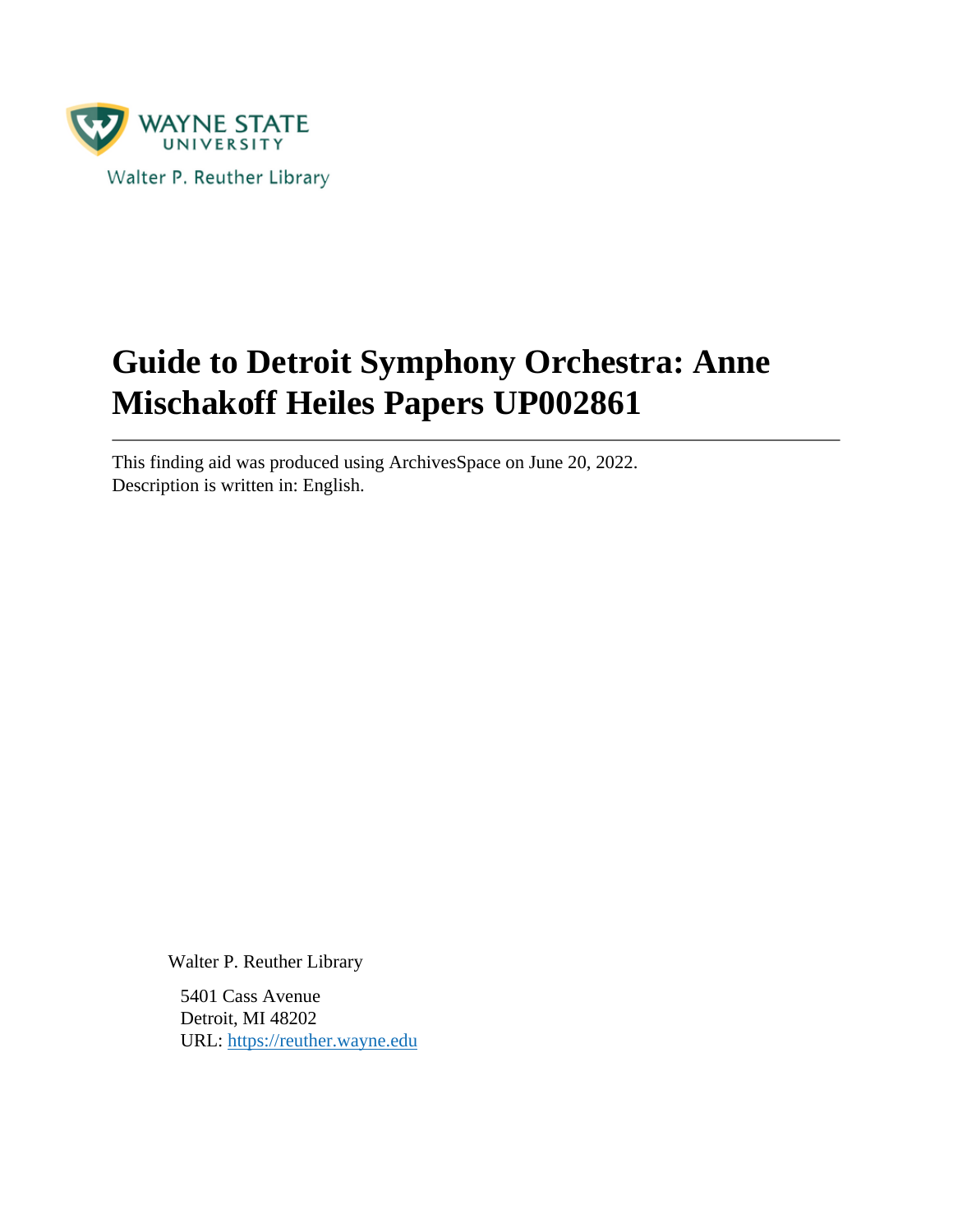

# **Guide to Detroit Symphony Orchestra: Anne Mischakoff Heiles Papers UP002861**

This finding aid was produced using ArchivesSpace on June 20, 2022. Description is written in: English.

Walter P. Reuther Library

5401 Cass Avenue Detroit, MI 48202 URL:<https://reuther.wayne.edu>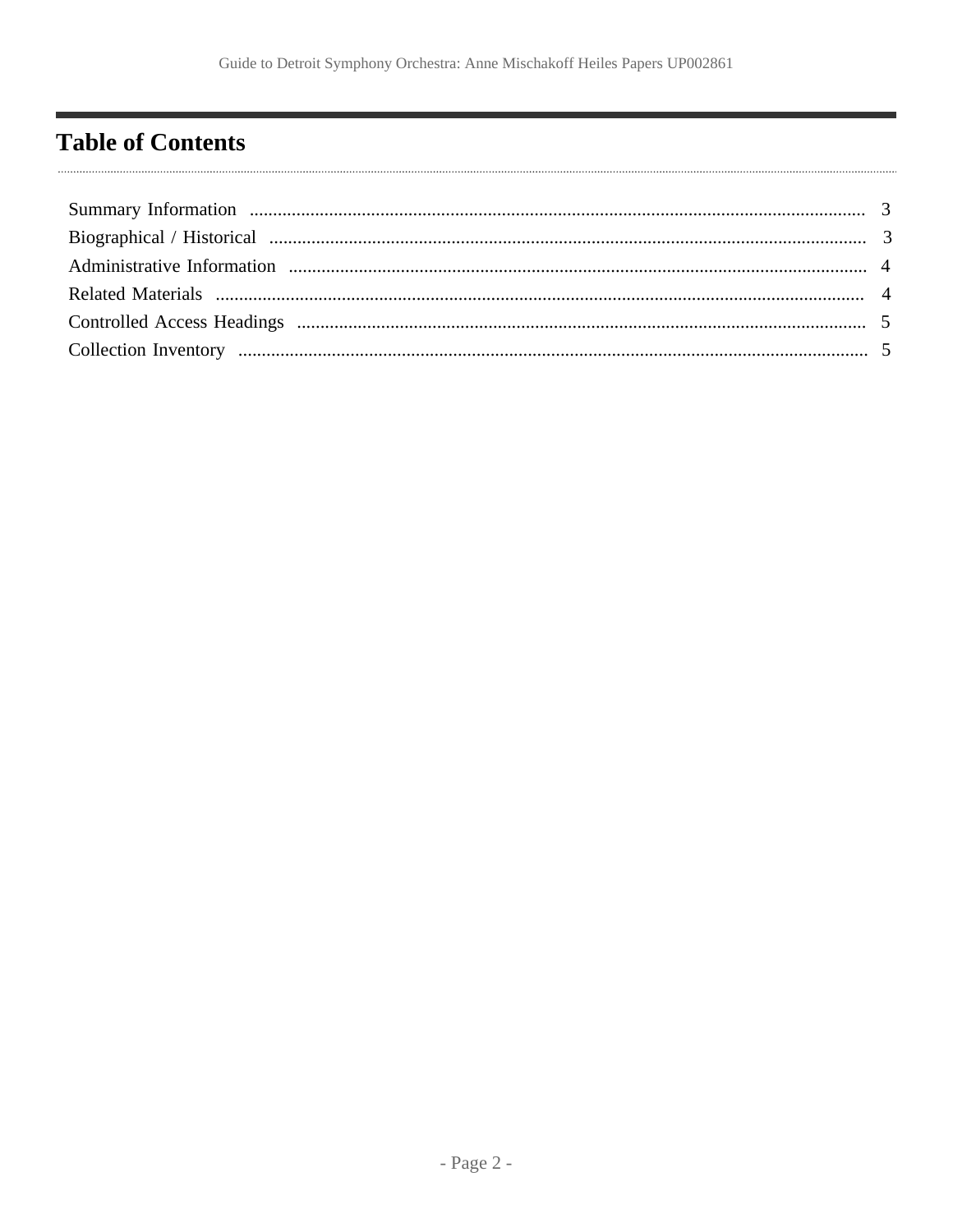## <span id="page-1-0"></span>**Table of Contents**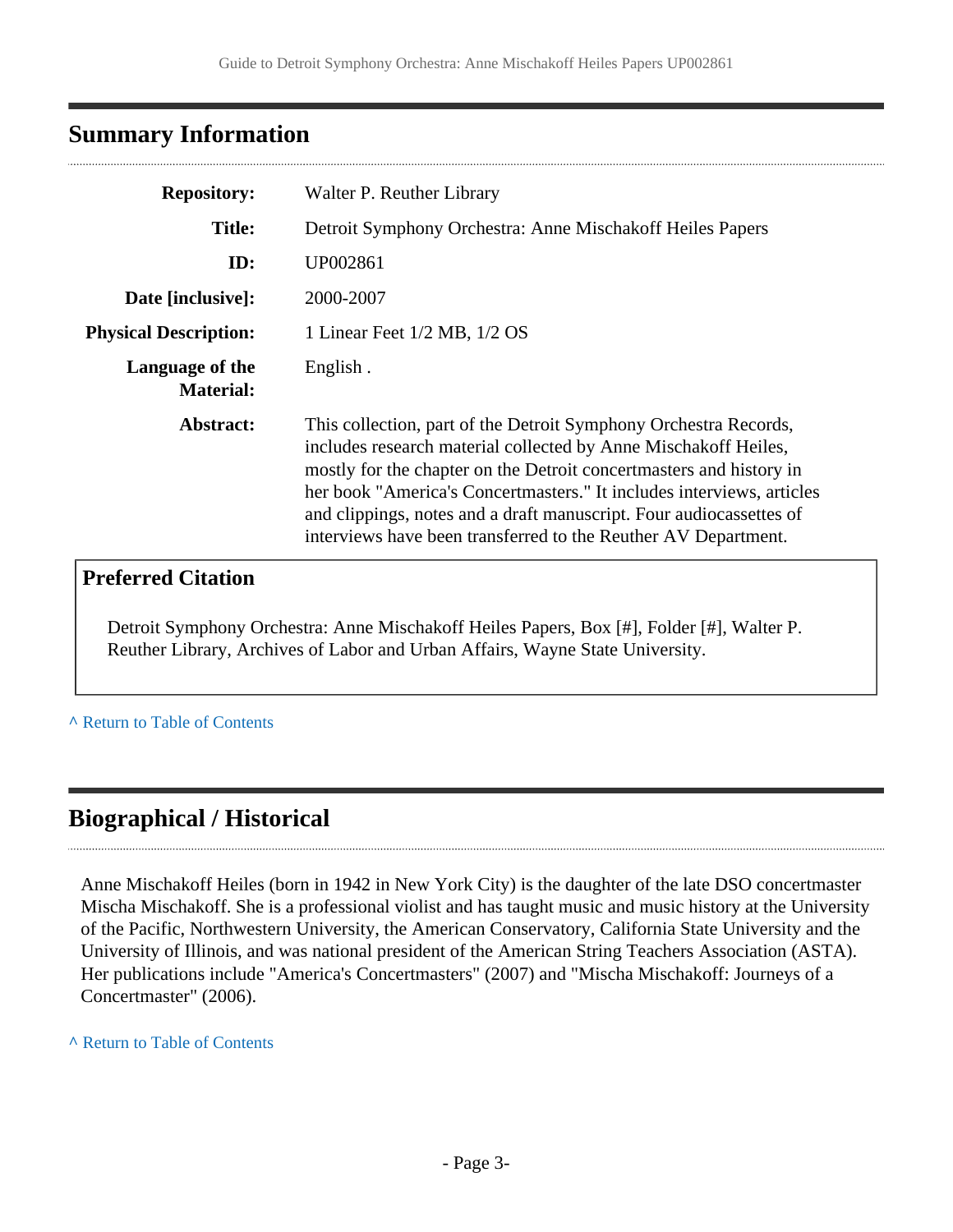### <span id="page-2-0"></span>**Summary Information**

| <b>Repository:</b>                  | Walter P. Reuther Library                                                                                                                                                                                                                                                                                                                                                                                                     |  |  |
|-------------------------------------|-------------------------------------------------------------------------------------------------------------------------------------------------------------------------------------------------------------------------------------------------------------------------------------------------------------------------------------------------------------------------------------------------------------------------------|--|--|
| <b>Title:</b>                       | Detroit Symphony Orchestra: Anne Mischakoff Heiles Papers                                                                                                                                                                                                                                                                                                                                                                     |  |  |
| ID:                                 | UP002861                                                                                                                                                                                                                                                                                                                                                                                                                      |  |  |
| Date [inclusive]:                   | 2000-2007                                                                                                                                                                                                                                                                                                                                                                                                                     |  |  |
| <b>Physical Description:</b>        | 1 Linear Feet 1/2 MB, 1/2 OS                                                                                                                                                                                                                                                                                                                                                                                                  |  |  |
| Language of the<br><b>Material:</b> | English.                                                                                                                                                                                                                                                                                                                                                                                                                      |  |  |
| Abstract:                           | This collection, part of the Detroit Symphony Orchestra Records,<br>includes research material collected by Anne Mischakoff Heiles,<br>mostly for the chapter on the Detroit concert masters and history in<br>her book "America's Concertmasters." It includes interviews, articles<br>and clippings, notes and a draft manuscript. Four audiocassettes of<br>interviews have been transferred to the Reuther AV Department. |  |  |

### **Preferred Citation**

Detroit Symphony Orchestra: Anne Mischakoff Heiles Papers, Box [#], Folder [#], Walter P. Reuther Library, Archives of Labor and Urban Affairs, Wayne State University.

**^** [Return to Table of Contents](#page-1-0)

### <span id="page-2-1"></span>**Biographical / Historical**

Anne Mischakoff Heiles (born in 1942 in New York City) is the daughter of the late DSO concertmaster Mischa Mischakoff. She is a professional violist and has taught music and music history at the University of the Pacific, Northwestern University, the American Conservatory, California State University and the University of Illinois, and was national president of the American String Teachers Association (ASTA). Her publications include "America's Concertmasters" (2007) and "Mischa Mischakoff: Journeys of a Concertmaster" (2006).

**^** [Return to Table of Contents](#page-1-0)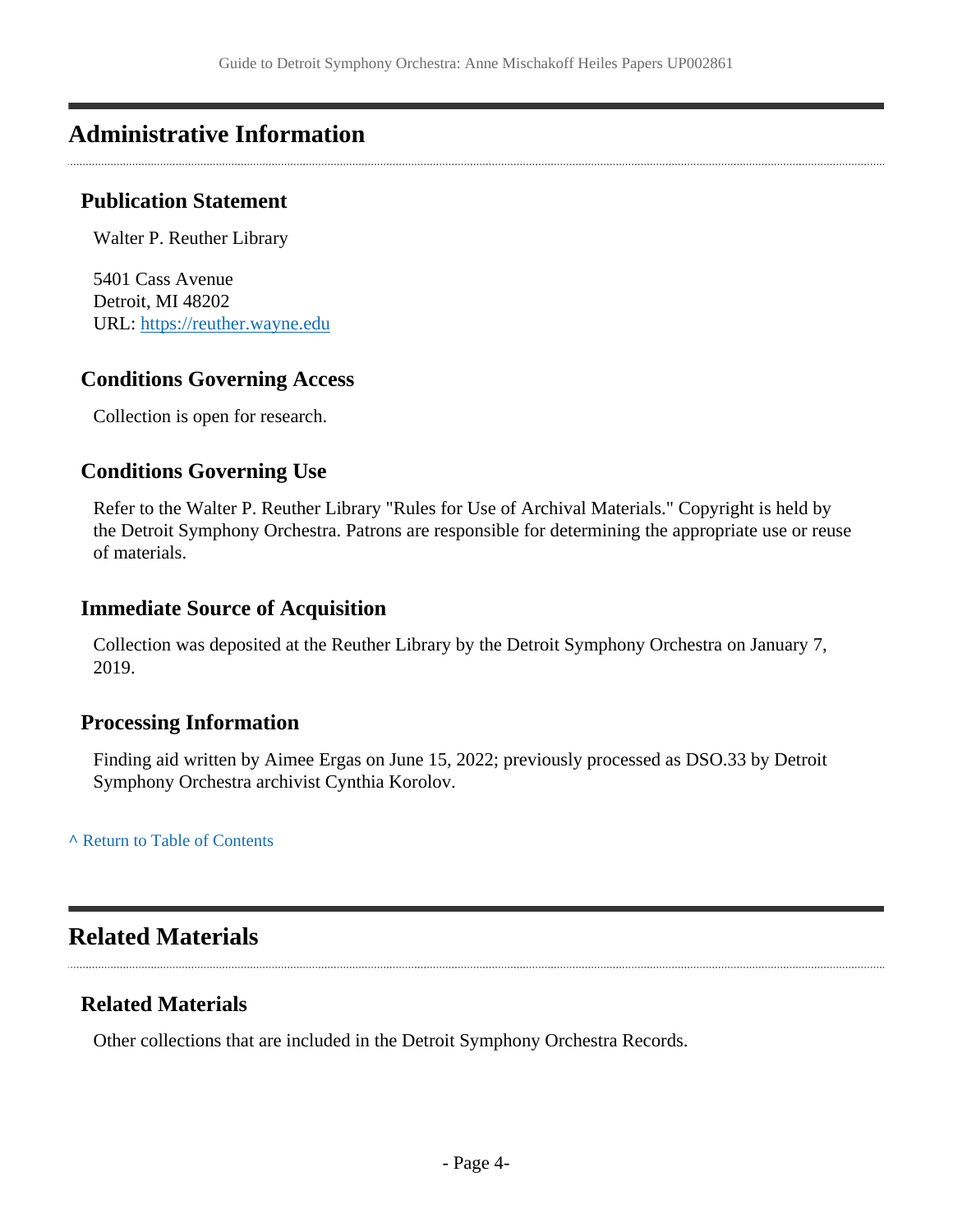### <span id="page-3-0"></span>**Administrative Information**

#### **Publication Statement**

Walter P. Reuther Library

5401 Cass Avenue Detroit, MI 48202 URL:<https://reuther.wayne.edu>

#### **Conditions Governing Access**

Collection is open for research.

#### **Conditions Governing Use**

Refer to the Walter P. Reuther Library "Rules for Use of Archival Materials." Copyright is held by the Detroit Symphony Orchestra. Patrons are responsible for determining the appropriate use or reuse of materials.

#### **Immediate Source of Acquisition**

Collection was deposited at the Reuther Library by the Detroit Symphony Orchestra on January 7, 2019.

#### **Processing Information**

Finding aid written by Aimee Ergas on June 15, 2022; previously processed as DSO.33 by Detroit Symphony Orchestra archivist Cynthia Korolov.

**^** [Return to Table of Contents](#page-1-0)

### <span id="page-3-1"></span>**Related Materials**

#### **Related Materials**

Other collections that are included in the Detroit Symphony Orchestra Records.